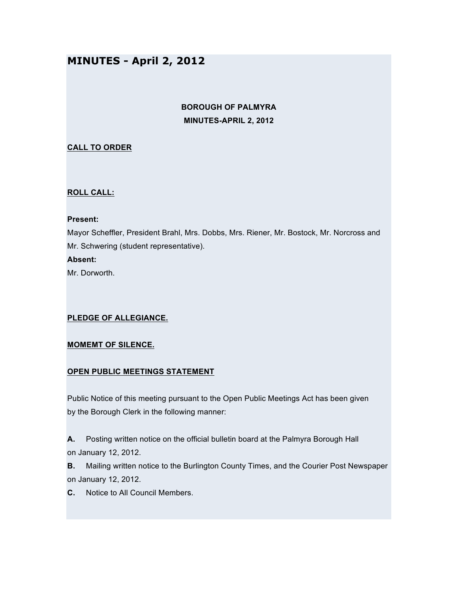# **MINUTES - April 2, 2012**

# **BOROUGH OF PALMYRA MINUTES-APRIL 2, 2012**

## **CALL TO ORDER**

#### **ROLL CALL:**

#### **Present:**

Mayor Scheffler, President Brahl, Mrs. Dobbs, Mrs. Riener, Mr. Bostock, Mr. Norcross and Mr. Schwering (student representative).

#### **Absent:**

Mr. Dorworth.

## **PLEDGE OF ALLEGIANCE.**

## **MOMEMT OF SILENCE.**

## **OPEN PUBLIC MEETINGS STATEMENT**

Public Notice of this meeting pursuant to the Open Public Meetings Act has been given by the Borough Clerk in the following manner:

**A.** Posting written notice on the official bulletin board at the Palmyra Borough Hall on January 12, 2012.

**B.** Mailing written notice to the Burlington County Times, and the Courier Post Newspaper on January 12, 2012.

**C.** Notice to All Council Members.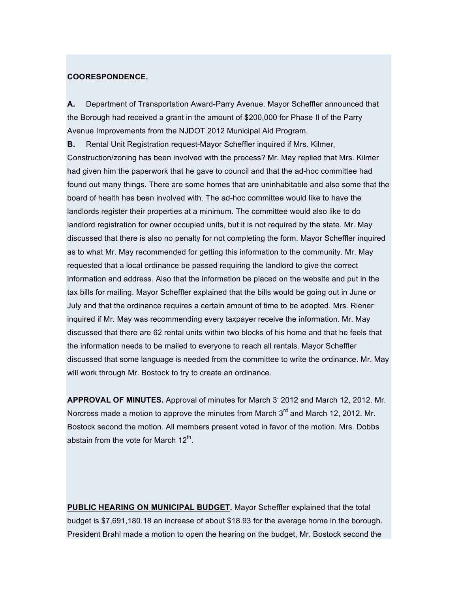#### **COORESPONDENCE.**

**A.** Department of Transportation Award-Parry Avenue. Mayor Scheffler announced that the Borough had received a grant in the amount of \$200,000 for Phase II of the Parry Avenue Improvements from the NJDOT 2012 Municipal Aid Program.

**B.** Rental Unit Registration request-Mayor Scheffler inquired if Mrs. Kilmer, Construction/zoning has been involved with the process? Mr. May replied that Mrs. Kilmer had given him the paperwork that he gave to council and that the ad-hoc committee had found out many things. There are some homes that are uninhabitable and also some that the board of health has been involved with. The ad-hoc committee would like to have the landlords register their properties at a minimum. The committee would also like to do landlord registration for owner occupied units, but it is not required by the state. Mr. May discussed that there is also no penalty for not completing the form. Mayor Scheffler inquired as to what Mr. May recommended for getting this information to the community. Mr. May requested that a local ordinance be passed requiring the landlord to give the correct information and address. Also that the information be placed on the website and put in the tax bills for mailing. Mayor Scheffler explained that the bills would be going out in June or July and that the ordinance requires a certain amount of time to be adopted. Mrs. Riener inquired if Mr. May was recommending every taxpayer receive the information. Mr. May discussed that there are 62 rental units within two blocks of his home and that he feels that the information needs to be mailed to everyone to reach all rentals. Mayor Scheffler discussed that some language is needed from the committee to write the ordinance. Mr. May will work through Mr. Bostock to try to create an ordinance.

APPROVAL OF MINUTES. Approval of minutes for March 3<sup>,</sup> 2012 and March 12, 2012. Mr. Norcross made a motion to approve the minutes from March 3<sup>rd</sup> and March 12, 2012. Mr. Bostock second the motion. All members present voted in favor of the motion. Mrs. Dobbs abstain from the vote for March  $12<sup>th</sup>$ .

**PUBLIC HEARING ON MUNICIPAL BUDGET.** Mayor Scheffler explained that the total budget is \$7,691,180.18 an increase of about \$18.93 for the average home in the borough. President Brahl made a motion to open the hearing on the budget, Mr. Bostock second the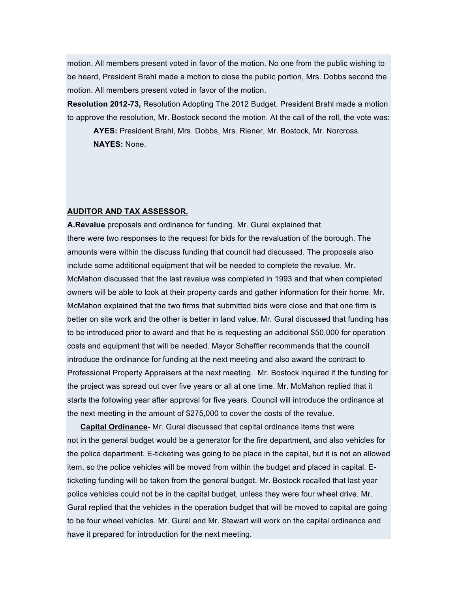motion. All members present voted in favor of the motion. No one from the public wishing to be heard, President Brahl made a motion to close the public portion, Mrs. Dobbs second the motion. All members present voted in favor of the motion.

**Resolution 2012-73,** Resolution Adopting The 2012 Budget. President Brahl made a motion to approve the resolution, Mr. Bostock second the motion. At the call of the roll, the vote was:

**AYES:** President Brahl, Mrs. Dobbs, Mrs. Riener, Mr. Bostock, Mr. Norcross. **NAYES:** None.

#### **AUDITOR AND TAX ASSESSOR.**

**A.Revalue** proposals and ordinance for funding. Mr. Gural explained that there were two responses to the request for bids for the revaluation of the borough. The amounts were within the discuss funding that council had discussed. The proposals also include some additional equipment that will be needed to complete the revalue. Mr. McMahon discussed that the last revalue was completed in 1993 and that when completed owners will be able to look at their property cards and gather information for their home. Mr. McMahon explained that the two firms that submitted bids were close and that one firm is better on site work and the other is better in land value. Mr. Gural discussed that funding has to be introduced prior to award and that he is requesting an additional \$50,000 for operation costs and equipment that will be needed. Mayor Scheffler recommends that the council introduce the ordinance for funding at the next meeting and also award the contract to Professional Property Appraisers at the next meeting. Mr. Bostock inquired if the funding for the project was spread out over five years or all at one time. Mr. McMahon replied that it starts the following year after approval for five years. Council will introduce the ordinance at the next meeting in the amount of \$275,000 to cover the costs of the revalue.

**Capital Ordinance**- Mr. Gural discussed that capital ordinance items that were not in the general budget would be a generator for the fire department, and also vehicles for the police department. E-ticketing was going to be place in the capital, but it is not an allowed item, so the police vehicles will be moved from within the budget and placed in capital. Eticketing funding will be taken from the general budget. Mr. Bostock recalled that last year police vehicles could not be in the capital budget, unless they were four wheel drive. Mr. Gural replied that the vehicles in the operation budget that will be moved to capital are going to be four wheel vehicles. Mr. Gural and Mr. Stewart will work on the capital ordinance and have it prepared for introduction for the next meeting.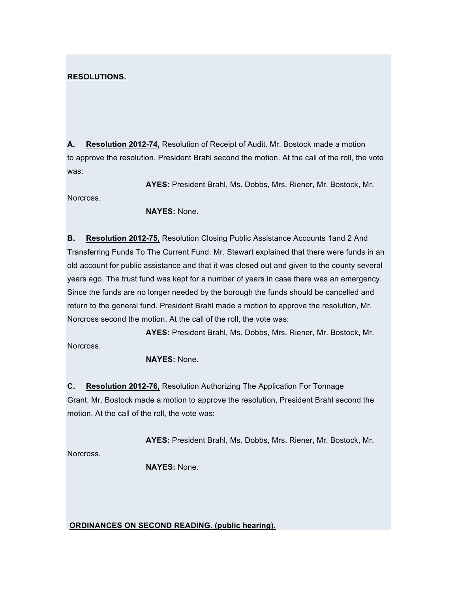### **RESOLUTIONS.**

**A. Resolution 2012-74,** Resolution of Receipt of Audit. Mr. Bostock made a motion to approve the resolution, President Brahl second the motion. At the call of the roll, the vote was:

**AYES:** President Brahl, Ms. Dobbs, Mrs. Riener, Mr. Bostock, Mr. Norcross.

**NAYES:** None.

**B. Resolution 2012-75,** Resolution Closing Public Assistance Accounts 1and 2 And Transferring Funds To The Current Fund. Mr. Stewart explained that there were funds in an old account for public assistance and that it was closed out and given to the county several years ago. The trust fund was kept for a number of years in case there was an emergency. Since the funds are no longer needed by the borough the funds should be cancelled and return to the general fund. President Brahl made a motion to approve the resolution, Mr. Norcross second the motion. At the call of the roll, the vote was:

**AYES:** President Brahl, Ms. Dobbs, Mrs. Riener, Mr. Bostock, Mr. Norcross.

**NAYES:** None.

**C. Resolution 2012-76,** Resolution Authorizing The Application For Tonnage Grant. Mr. Bostock made a motion to approve the resolution, President Brahl second the motion. At the call of the roll, the vote was:

**AYES:** President Brahl, Ms. Dobbs, Mrs. Riener, Mr. Bostock, Mr.

Norcross.

**NAYES:** None.

**ORDINANCES ON SECOND READING. (public hearing).**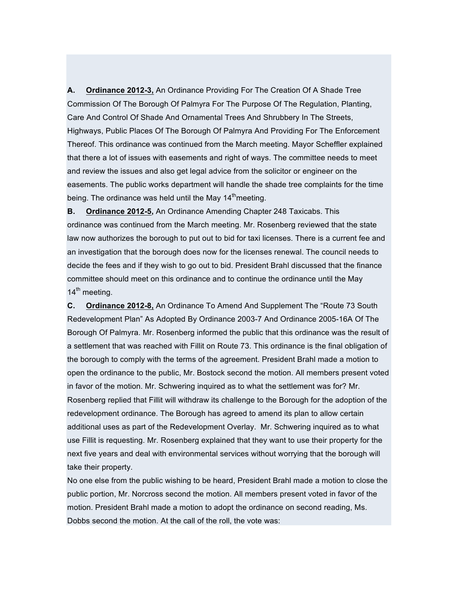**A. Ordinance 2012-3,** An Ordinance Providing For The Creation Of A Shade Tree Commission Of The Borough Of Palmyra For The Purpose Of The Regulation, Planting, Care And Control Of Shade And Ornamental Trees And Shrubbery In The Streets, Highways, Public Places Of The Borough Of Palmyra And Providing For The Enforcement Thereof. This ordinance was continued from the March meeting. Mayor Scheffler explained that there a lot of issues with easements and right of ways. The committee needs to meet and review the issues and also get legal advice from the solicitor or engineer on the easements. The public works department will handle the shade tree complaints for the time being. The ordinance was held until the May  $14<sup>th</sup>$ meeting.

**B. Ordinance 2012-5,** An Ordinance Amending Chapter 248 Taxicabs. This ordinance was continued from the March meeting. Mr. Rosenberg reviewed that the state law now authorizes the borough to put out to bid for taxi licenses. There is a current fee and an investigation that the borough does now for the licenses renewal. The council needs to decide the fees and if they wish to go out to bid. President Brahl discussed that the finance committee should meet on this ordinance and to continue the ordinance until the May 14<sup>th</sup> meeting.

**C. Ordinance 2012-8,** An Ordinance To Amend And Supplement The "Route 73 South Redevelopment Plan" As Adopted By Ordinance 2003-7 And Ordinance 2005-16A Of The Borough Of Palmyra. Mr. Rosenberg informed the public that this ordinance was the result of a settlement that was reached with Fillit on Route 73. This ordinance is the final obligation of the borough to comply with the terms of the agreement. President Brahl made a motion to open the ordinance to the public, Mr. Bostock second the motion. All members present voted in favor of the motion. Mr. Schwering inquired as to what the settlement was for? Mr. Rosenberg replied that Fillit will withdraw its challenge to the Borough for the adoption of the redevelopment ordinance. The Borough has agreed to amend its plan to allow certain additional uses as part of the Redevelopment Overlay. Mr. Schwering inquired as to what use Fillit is requesting. Mr. Rosenberg explained that they want to use their property for the next five years and deal with environmental services without worrying that the borough will take their property.

No one else from the public wishing to be heard, President Brahl made a motion to close the public portion, Mr. Norcross second the motion. All members present voted in favor of the motion. President Brahl made a motion to adopt the ordinance on second reading, Ms. Dobbs second the motion. At the call of the roll, the vote was: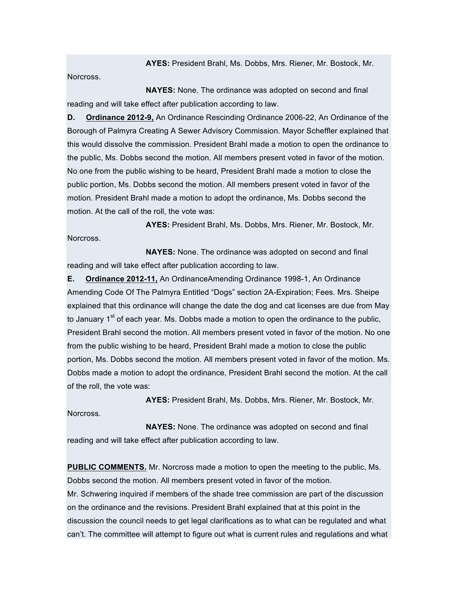**AYES:** President Brahl, Ms. Dobbs, Mrs. Riener, Mr. Bostock, Mr.

Norcross.

**NAYES:** None. The ordinance was adopted on second and final reading and will take effect after publication according to law.

**D. Ordinance 2012-9,** An Ordinance Rescinding Ordinance 2006-22, An Ordinance of the Borough of Palmyra Creating A Sewer Advisory Commission. Mayor Scheffler explained that this would dissolve the commission. President Brahl made a motion to open the ordinance to the public, Ms. Dobbs second the motion. All members present voted in favor of the motion. No one from the public wishing to be heard, President Brahl made a motion to close the public portion, Ms. Dobbs second the motion. All members present voted in favor of the motion. President Brahl made a motion to adopt the ordinance, Ms. Dobbs second the motion. At the call of the roll, the vote was:

**AYES:** President Brahl, Ms. Dobbs, Mrs. Riener, Mr. Bostock, Mr. Norcross.

**NAYES:** None. The ordinance was adopted on second and final reading and will take effect after publication according to law.

**E. Ordinance 2012-11,** An OrdinanceAmending Ordinance 1998-1, An Ordinance Amending Code Of The Palmyra Entitled "Dogs" section 2A-Expiration; Fees. Mrs. Sheipe explained that this ordinance will change the date the dog and cat licenses are due from May to January  $1^{st}$  of each year. Ms. Dobbs made a motion to open the ordinance to the public, President Brahl second the motion. All members present voted in favor of the motion. No one from the public wishing to be heard, President Brahl made a motion to close the public portion, Ms. Dobbs second the motion. All members present voted in favor of the motion. Ms. Dobbs made a motion to adopt the ordinance, President Brahl second the motion. At the call of the roll, the vote was:

**AYES:** President Brahl, Ms. Dobbs, Mrs. Riener, Mr. Bostock, Mr.

Norcross.

**NAYES:** None. The ordinance was adopted on second and final reading and will take effect after publication according to law.

**PUBLIC COMMENTS.** Mr. Norcross made a motion to open the meeting to the public, Ms. Dobbs second the motion. All members present voted in favor of the motion. Mr. Schwering inquired if members of the shade tree commission are part of the discussion on the ordinance and the revisions. President Brahl explained that at this point in the discussion the council needs to get legal clarifications as to what can be regulated and what can't. The committee will attempt to figure out what is current rules and regulations and what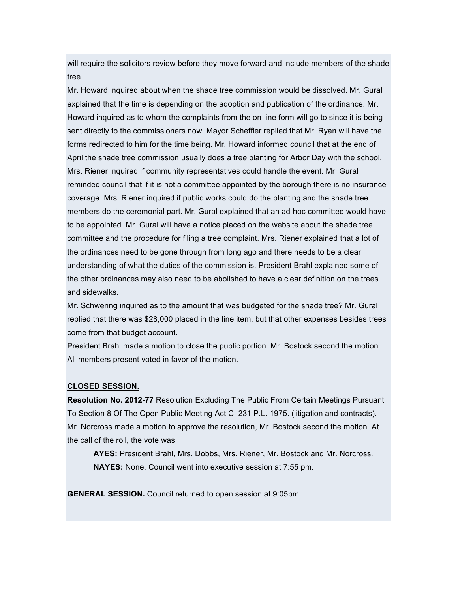will require the solicitors review before they move forward and include members of the shade tree.

Mr. Howard inquired about when the shade tree commission would be dissolved. Mr. Gural explained that the time is depending on the adoption and publication of the ordinance. Mr. Howard inquired as to whom the complaints from the on-line form will go to since it is being sent directly to the commissioners now. Mayor Scheffler replied that Mr. Ryan will have the forms redirected to him for the time being. Mr. Howard informed council that at the end of April the shade tree commission usually does a tree planting for Arbor Day with the school. Mrs. Riener inquired if community representatives could handle the event. Mr. Gural reminded council that if it is not a committee appointed by the borough there is no insurance coverage. Mrs. Riener inquired if public works could do the planting and the shade tree members do the ceremonial part. Mr. Gural explained that an ad-hoc committee would have to be appointed. Mr. Gural will have a notice placed on the website about the shade tree committee and the procedure for filing a tree complaint. Mrs. Riener explained that a lot of the ordinances need to be gone through from long ago and there needs to be a clear understanding of what the duties of the commission is. President Brahl explained some of the other ordinances may also need to be abolished to have a clear definition on the trees and sidewalks.

Mr. Schwering inquired as to the amount that was budgeted for the shade tree? Mr. Gural replied that there was \$28,000 placed in the line item, but that other expenses besides trees come from that budget account.

President Brahl made a motion to close the public portion. Mr. Bostock second the motion. All members present voted in favor of the motion.

#### **CLOSED SESSION.**

**Resolution No. 2012-77** Resolution Excluding The Public From Certain Meetings Pursuant To Section 8 Of The Open Public Meeting Act C. 231 P.L. 1975. (litigation and contracts). Mr. Norcross made a motion to approve the resolution, Mr. Bostock second the motion. At the call of the roll, the vote was:

**AYES:** President Brahl, Mrs. Dobbs, Mrs. Riener, Mr. Bostock and Mr. Norcross. **NAYES:** None. Council went into executive session at 7:55 pm.

**GENERAL SESSION.** Council returned to open session at 9:05pm.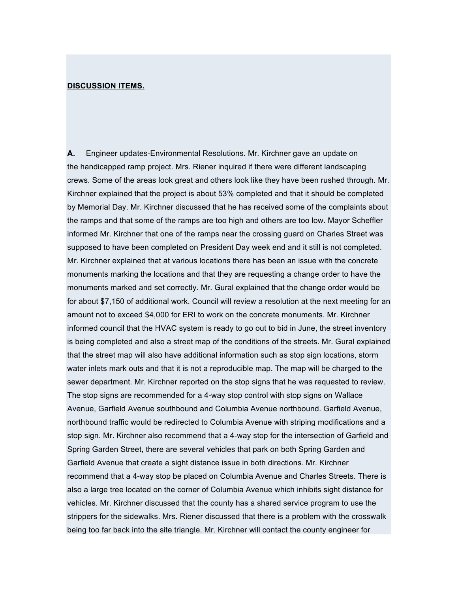#### **DISCUSSION ITEMS.**

**A.** Engineer updates-Environmental Resolutions. Mr. Kirchner gave an update on the handicapped ramp project. Mrs. Riener inquired if there were different landscaping crews. Some of the areas look great and others look like they have been rushed through. Mr. Kirchner explained that the project is about 53% completed and that it should be completed by Memorial Day. Mr. Kirchner discussed that he has received some of the complaints about the ramps and that some of the ramps are too high and others are too low. Mayor Scheffler informed Mr. Kirchner that one of the ramps near the crossing guard on Charles Street was supposed to have been completed on President Day week end and it still is not completed. Mr. Kirchner explained that at various locations there has been an issue with the concrete monuments marking the locations and that they are requesting a change order to have the monuments marked and set correctly. Mr. Gural explained that the change order would be for about \$7,150 of additional work. Council will review a resolution at the next meeting for an amount not to exceed \$4,000 for ERI to work on the concrete monuments. Mr. Kirchner informed council that the HVAC system is ready to go out to bid in June, the street inventory is being completed and also a street map of the conditions of the streets. Mr. Gural explained that the street map will also have additional information such as stop sign locations, storm water inlets mark outs and that it is not a reproducible map. The map will be charged to the sewer department. Mr. Kirchner reported on the stop signs that he was requested to review. The stop signs are recommended for a 4-way stop control with stop signs on Wallace Avenue, Garfield Avenue southbound and Columbia Avenue northbound. Garfield Avenue, northbound traffic would be redirected to Columbia Avenue with striping modifications and a stop sign. Mr. Kirchner also recommend that a 4-way stop for the intersection of Garfield and Spring Garden Street, there are several vehicles that park on both Spring Garden and Garfield Avenue that create a sight distance issue in both directions. Mr. Kirchner recommend that a 4-way stop be placed on Columbia Avenue and Charles Streets. There is also a large tree located on the corner of Columbia Avenue which inhibits sight distance for vehicles. Mr. Kirchner discussed that the county has a shared service program to use the strippers for the sidewalks. Mrs. Riener discussed that there is a problem with the crosswalk being too far back into the site triangle. Mr. Kirchner will contact the county engineer for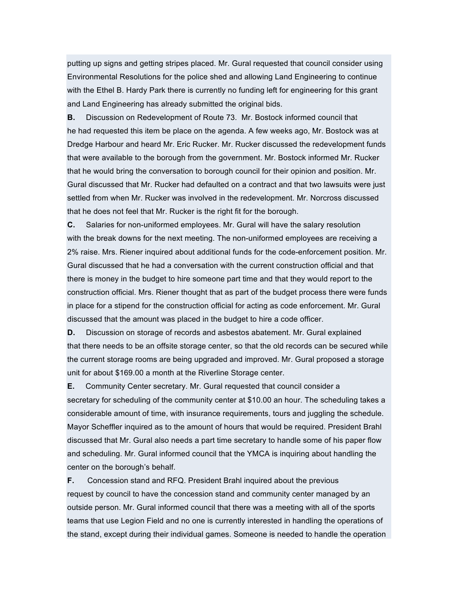putting up signs and getting stripes placed. Mr. Gural requested that council consider using Environmental Resolutions for the police shed and allowing Land Engineering to continue with the Ethel B. Hardy Park there is currently no funding left for engineering for this grant and Land Engineering has already submitted the original bids.

**B.** Discussion on Redevelopment of Route 73. Mr. Bostock informed council that he had requested this item be place on the agenda. A few weeks ago, Mr. Bostock was at Dredge Harbour and heard Mr. Eric Rucker. Mr. Rucker discussed the redevelopment funds that were available to the borough from the government. Mr. Bostock informed Mr. Rucker that he would bring the conversation to borough council for their opinion and position. Mr. Gural discussed that Mr. Rucker had defaulted on a contract and that two lawsuits were just settled from when Mr. Rucker was involved in the redevelopment. Mr. Norcross discussed that he does not feel that Mr. Rucker is the right fit for the borough.

**C.** Salaries for non-uniformed employees. Mr. Gural will have the salary resolution with the break downs for the next meeting. The non-uniformed employees are receiving a 2% raise. Mrs. Riener inquired about additional funds for the code-enforcement position. Mr. Gural discussed that he had a conversation with the current construction official and that there is money in the budget to hire someone part time and that they would report to the construction official. Mrs. Riener thought that as part of the budget process there were funds in place for a stipend for the construction official for acting as code enforcement. Mr. Gural discussed that the amount was placed in the budget to hire a code officer.

**D.** Discussion on storage of records and asbestos abatement. Mr. Gural explained that there needs to be an offsite storage center, so that the old records can be secured while the current storage rooms are being upgraded and improved. Mr. Gural proposed a storage unit for about \$169.00 a month at the Riverline Storage center.

**E.** Community Center secretary. Mr. Gural requested that council consider a secretary for scheduling of the community center at \$10.00 an hour. The scheduling takes a considerable amount of time, with insurance requirements, tours and juggling the schedule. Mayor Scheffler inquired as to the amount of hours that would be required. President Brahl discussed that Mr. Gural also needs a part time secretary to handle some of his paper flow and scheduling. Mr. Gural informed council that the YMCA is inquiring about handling the center on the borough's behalf.

**F.** Concession stand and RFQ. President Brahl inquired about the previous request by council to have the concession stand and community center managed by an outside person. Mr. Gural informed council that there was a meeting with all of the sports teams that use Legion Field and no one is currently interested in handling the operations of the stand, except during their individual games. Someone is needed to handle the operation